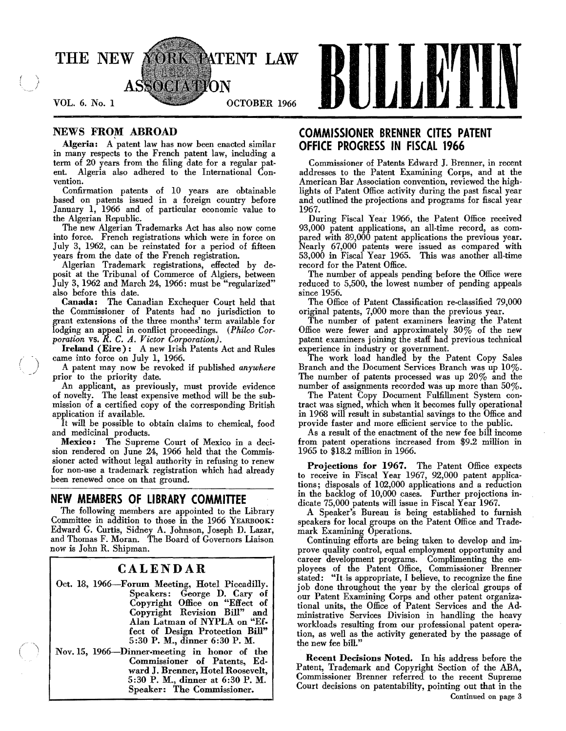

Algeria: A patent law has now been enacted similar **OFFICE PROGRESS IN FISCAL 1966** in many respects to the French patent law, including a<br>term of 20 years from the filing date for a regular pat-<br>Commissioner of Patents Ed term of 20 years from the filing date for a regular patent. Algeria also adhered to the International Conent. Algeria also adhered to the International Con addresses to the Patent Examining Corps, and at the

Confirmation patents of 10 years are obtainable based on patents issued in a foreign country before January 1, 1966 and of particular economic value to

into force. French registrations which were in force on pared with 89,000 patent applications the previous year.<br>July 3, 1962, can be reinstated for a period of fifteen Nearly 67,000 patents were issued as compared with July 3, 1962, can be reinstated for a period of fifteen Nearly 67,000 patents were issued as compared with years from the date of the French registration. 53,000 in Fiscal Year 1965. This was another all-time

Algerian Trademark registrations, effected by de-<br>
Suit at the Tribunal of Commerce of Algiers, between The number of appeals pending before the Office were posit at the Tribunal of Commerce of Algiers, between<br>July 3, 1962 and March 24, 1966: must be "regularized"

also before this date.<br>**Canada:** The Canadian Exchequer Court held that the Commissioner of Patents had no jurisdiction to original patents, 7,000 more than the previous year. grant extensions of the three months' term available for The number of patent examiners leaving the Patent lodging an appeal in conflict proceedings. (Philco Cor-<br>port ever and approximately  $30\%$  of the new<br>port on the new patent examiners joining the staff had previous technical

Ireland (Eire): A new Irish Patents Act and Rules experience in industry or government.<br>
The work load handled by the Patent Copy Sales

of novelty. The least expensive method will be the submission of a certified copy of the corresponding British tract was signed, which when it becomes fully operational<br>in 1968 will result in substantial savings to the Office and

It will be possible to obtain claims to chemical, food provide faster and more efficient service to the public.<br>As a result of the enactment of the new fee bill incon

Mexico: The Supreme Court of Mexico in a deci-<br>on rendered on June 24, 1966 held that the Commis-<br>1965 to \$18.2 million in 1966. sion rendered on June 24, 1966 held that the Commis-

The following members are appointed to the Library A Speaker's Bureau is being established to furnish Committee in addition to those in the 1966 YEARBOOK: speakers for local groups on the Patent Office and Trade Edward G. Curtis, Sidney A. Johnson, Joseph D. Lazar, and Thomas F. Moran. The Board of Governors Liaison Edward G. Curtis, Sidney A. Johnson, Joseph D. Lazar, mark Examining Operations.<br>
and Thomas F. Moran. The Board of Governors Liaison Continuing efforts are being taken to develop and im-<br>
prove quality control, equal empl

# CALENDAR

5:30 P. M., dinner 6:30 P. M.

Nov. IS, 1966-Dinner-meeting in honor of the

# NEWS FROM ABROAD **COMMISSIONER BRENNER CITES PATENT**

American Bar Association convention, reviewed the highlights of Patent Office activity during the past fiscal year<br>and outlined the projections and programs for fiscal year

January 1, 1966 and of particular economic value to 1967.<br>
the Algerian Republic. During Fiscal Year 1966, the Patent Office received<br>
The new Algerian Trademarks Act has also now come 93,000 patent applications, an all-ti The new Algerian Trademarks Act has also now come 93,000 patent applications, an all-time record, as com-<br>into force. French registrations which were in force on pared with 89,000 patent applications the previous year. 53,000 in Fiscal Year 1965. This was another all-time record for the Patent Office.

reduced to 5,500, the lowest number of pending appeals since 1956.

The Office of Patent Classification re-classified 79,000 original patents, 7,000 more than the previous year.

patent examiners joining the staff had previous technical

came into force on A patent may now be revoked if published *anywhere* Branch and the Document Services Branch was up 10%.<br>The number of patents processed was up 20% and the prior to the priority date.<br>
An applicant, as previously, must provide evidence and number of assignments recorded was up more than  $50\%$ .

number of assignments recorded was up more than 50%.<br>The Patent Copy Document Fulfillment System conplication if available.<br>It will be possible to obtain claims to chemical, food provide faster and more efficient service to the public.

As a result of the enactment of the new fee bill income from patent operations increased from \$9.2 million in

sioner acted without legal authority in refusing to renew<br>for non-use a trademark registration which had already<br>been renewed once on that ground.<br>been renewed once on that ground.<br>ions; disposals of 102,000 applications a **NEW MEMBERS OF LIBRARY COMMITTEE** in the backlog of 10,000 cases. Further projections in-<br>The following members are appointed to the Library and Speaker's Bureau is being established to furnish

prove quality control, equal employment opportunity and career development programs. Complimenting the employees of the Patent Office, Commissioner Brenner stated: "It is appropriate, I believe, to recognize the fine<br>job done throughout the year by the clerical groups of Oct. 18, 1966-Forum Meeting, Hotel Piccadilly. job done throughout the year by the clerical groups of<br>Speakers: George D. Cary of our Patent Examining Corps and other patent organiza-Speakers: George D. Cary of our Patent Examining Corps and other patent organiza-<br>Copyright Office on "Effect of tional units, the Office of Patent Services and the Ad-<br>Copyright Revision Bill" and ministrative Services Di Alan Latman of NYPLA on "Ef-<br>fect of Design Protection Bill"<br>5:30 P. M., dinner 6:30 P. M.<br>the new fee bill."

> External Recent Decisions Noted. In his address before the ward J. Brenner, Hotel Roosevelt, Patent, Trademark and Copyright Section of the ABA, 5:30 P. M., dinner at 6:30 P. M. Commissioner Brenner referred to the recent Supreme Speaker: The Commissioner. Continued on page 3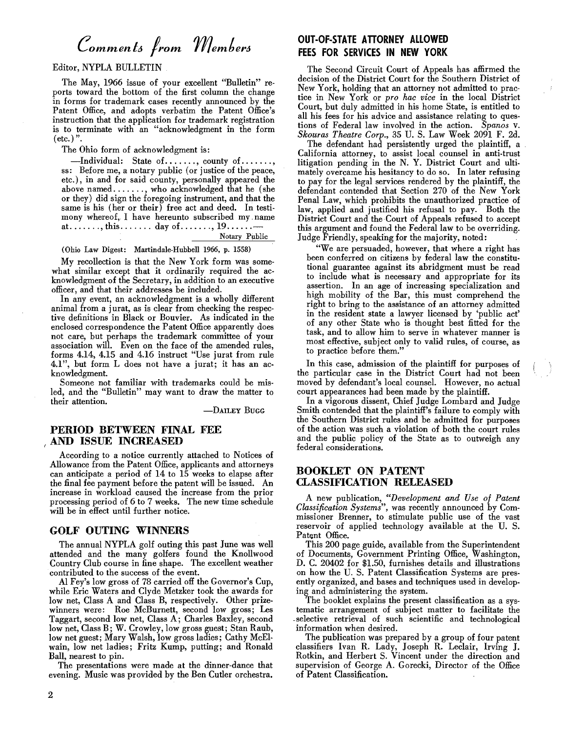# *Commen to from member6*

Editor, NYPLA BULLETIN

The May, 1966 issue of your excellent "Bulletin" reports toward the bottom of the first column the change in forms for trademark cases recently announced by the Patent Office, and adopts verbatim the Patent Office's instruction that the application for trademark registration is to terminate with an "acknowledgment in the form  $(\text{etc.})$ ".

The Ohio form of acknowledgment is:

 $-$ Individual: State of ......., county of ....... ss: Before me, a notary public (or justice of the peace, etc.), in and for said county, personally appeared the above named ......., who acknowledged that he (she or they) did sign the foregoing instrument, and that the same is his (her or their) free act and deed. In testimony whereof, I have hereunto subscribed my. name at......., this....... day of.......,  $19$ ...... Notary Public

(Ohio Law Digest: Martindale-Hubbell 1966, p. 1558)

My recollection is that the New York form was somewhat similar except that it ordinarily required the acknowledgment of the Secretary, in addition to an executive officer, and that their addresses be included.

In any event, an acknowledgment is a wholly different animal from a jurat, as is clear from checking the respective definitions in Black or Bouvier. As indicated in the enclosed correspondence the Patent Office apparently does not care, but perhaps the trademark committee of your association will. Even on the face of the amended rules, forms 4.14, 4.15 and 4.16 instruct "Use jurat from rule 4.1", but form L does not have a jurat; it has an acknowledgment.

Someone not familiar with trademarks could be misled, and the "Bulletin" may want to draw the matter to their attention.

-DAILEY BUGG

### PERIOD BETWEEN FINAL FEE (AND ISSUE INCREASED

According to a notice currently attached to Notices of Allowance from the Patent Office, applicants and attorneys can anticipate a period of 14 to 15 weeks to elapse after the final fee payment before the patent will be issued. An increase in workload caused the increase from the prior processing period of 6 to 7 weeks. The new time schedule will be in effect until further notice.

### GOLF OUTING WINNERS

The annual NYPLA golf outing this past June was well attended and the many golfers found the Knollwood Country Club course in fine shape\_ The excellent weather contributed to the success of the event.

Al Fey's low gross of 78 carried off the Governor's Cup, while Eric Waters and Clyde Metzker took the awards for low net, Class A and Class B, respectively. Other prizewinners were: Roe McBurnett, second low gross; Les Taggart, second low net, Class A; Charles Baxley, second low net, Class B; W. Crowley, low gross guest; Stan Raub, low net guest; Mary Walsh, low gross ladies; Cathy McElwain, low net ladies; Fritz Kump, putting; and Ronald Ball, nearest to pin.

The presentations were made at the dinner-dance that evening. Music was provided by the Ben Cutler orchestra.

# OUT-OF-STATE ATTORNEY ALLOWED fEES fOR SERVICES IN NEW YORK

The Second Circuit Court of Appeals has affirmed the decision of the District Court for the Southern District of New York, holding that an attorney not admitted to practice in New York or *pro hac vice* in the local District Court, but duly admitted in his home State, is entitled to all his fees for his advice and assistance relating to questions of Federal law involved in the action. *Spanos* v. *Skouras Theatre Corp.,* 35 U. S. Law Week 2091 F. 2d.

The defendant had persistently urged the plaintiff, a California attorney, to assist local counsel in anti-trust litigation pending in the N. Y. District Court and ultimately overcame his hesitancy to do so. In later refusing to pay for the legal services rendered by the plaintiff, the defendant contended that Section 270 of the New York Penal Law, which prohibits the unauthorized practice of law, applied and justified his refusal to pay. Both the District Court and the Court of Appeals refused to accept this argument and found the Federal law to be overriding. Judge Friendly, speaking for the majority, noted:

"We are persuaded, however, that where a right has been conferred on citizens by federal law the constitutional guarantee against its abridgment must be read to include what is necessary and appropriate for its assertion. In an age of increasing specialization and high mobility of the Bar, this must comprehend the right to bring to the assistance of an attorney admitted in the resident state a lawyer licensed by 'public act' of any other State who is thought best fitted for the task, and to allow him to serve in whatever manner is most effective, subject only to valid rules, of course, as to practice before them.'

In this case, admission of the plaintiff for purposes of the particular case in the District Court had not been moved by defendant's local counsel. However, no actual court appearances had been made by the plaintiff.

In a vigorous dissent, Chief Judge Lombard and Judge Smith contended that the plaintiff's failure to comply with the Southern District rules and be admitted for purposes of the action was such a violation of both the court rules and the public policy of the State as to outweigh any federal considerations.

## BOOKLET ON PATENT CLASSIFICATION RELEASED

A new publication, *"Development and Use of Patent Classification Systems",* was recently announced by Commissioner Brenner, to stimulate public use of the vast reservoir of applied technology available at the U. S. Patent Office.

This 200 page guide, available from the Superintendent of Documents, Government Printing Office, Washington, D. C. 20402 for \$1.50, furnishes details and illustrations on how the U. S. Patent Classification Systems are presently organized, and bases and techniques used in developing and administering the system.

The booklet explains the present classification as a systematic arrangement of subject matter to facilitate the -selective retrieval of such scientific and technological information when desired.

The publication was prepared by a group of four patent classifiers Ivan R. Lady, Joseph R. Leclair, Irving J. Rotkin, and Herbert S. Vincent under the direction and supervision of George A. Gorecki, Director of the Office of Patent Classification.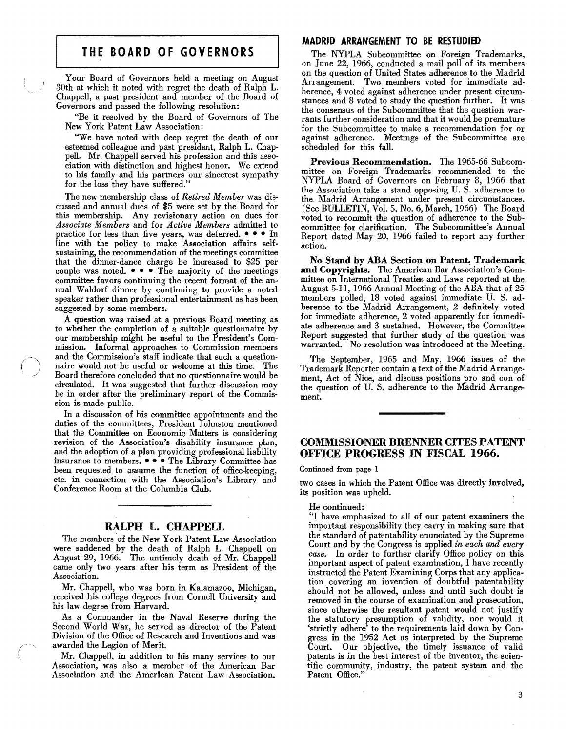# **THE BOARD OF GOVERNORS**

Your Board of Governors held a meeting on August 30th at which it noted with regret the death of Ralph L. Chappell, a past president and member of the Board of Governors and passed the following resolution:

"Be it resolved by the Board of Governors of The New York Patent Law Association:

"We have noted with deep regret the death of our esteemed colleague and past president, Ralph L. Chappell. Mr. Chappell served his profession and this association with distinction and highest honor. We extend to his family and his partners our sincerest sympathy for the loss they have suffered."

The new membership class of *Retired Member* was discussed and annual dues of \$5 were set by the Board for this membership. Any revisionary action on dues for *Associate Members* and for *Active Members* admitted to practice for less than five years, was deferred.  $\bullet \bullet \bullet \text{ In}$ line with the policy to make Association affairs selfsustaining, the recommendation of the meetings committee that the dinner-dance charge be increased to \$25 per couple was noted.  $\bullet \bullet \bullet$  The majority of the meetings committee favors continuing the recent format of the annual Waldorf dinner by continuing to provide a noted speaker rather than professional entertainment as has been suggested by some members.

A question was raised at a previous Board meeting as to whether the completion of a suitable questionnaire by our membership might be useful to the President's Commission. Informal approaches to Commission members and the Commission's staff indicate that such a questionnaire would not be useful or welcome at this time. The Board therefore concluded that no questionnaire would be circulated. It was suggested that further discussion may be in order after the preliminary report of the Commission is made public.

In a discussion of his committee appointments and the duties of the committees, President Johnston mentioned that the Committee on Economic Matters is considering revision of the Association's disability insurance plan, and the adoption of a plan providing professional liability insurance to members. • • • The Library Committee has been requested to assume the function of office-keeping, etc. in connection with the Association's Library and Conference Room at the Columbia Club.

## RALPH L. CHAPPELL

The members of the New York Patent Law Association were saddened by the death of Ralph L. Chappell on August 29, 1966. The untimely death of Mr. Chappell came only two years after his term as President of the Association.

Mr. Chappell, who was born in Kalamazoo, Michigan, received his college degrees from Cornell University and his law degree from Harvard.

As a Commander in the Naval Reserve during the Second World War, he served as director of the Patent Division of the Office of Research and Inventions and was awarded the Legion of Merit.

Mr. Chappell, in addition to his many services to our Association, was also a member of the American Bar Association and the American Patent Law Association.

#### **MADRID** ARRANGEMENT TO BE RESTUDIED

The NYPLA Subcommittee on Foreigu Trademarks, on June 22, 1966, conducted a mail poll of its members on the question of United States adherence to the Madrid Arrangement. Two members voted for immediate adherence, 4 voted against adherence under present circumstances and 8 voted to study the question further. It was the consensus of the Subcommittee that the question warrants further consideration and that it would be premature for the Subcommittee to make a recommendation for or against adherence. Meetings of the Subcommittee are scheduled for this fall.

Previous Recommendation. The 1965-66 Subcommittee on Foreign Trademarks recommended to the NYPLA Board of Governors on February 8, 1966 that the Association take a stand opposing U. S. adherence to the Madrid Arrangement under present circumstances. (See BUllETIN, Vol. 5, No.6, March, 1966) The Board voted to recommit the question of adherence to the Subcommittee for clarification. The Subcommittee's Annual Report dated May 20, 1966 failed to report any further action.

No Stand by ABA Section on Patent, Trademark and Copyrights. The American Bar Association's Committee on International Treaties and Laws reported at the August 5-11, 1966 Annual Meeting of the ABA that of 25 members polled, 18 voted against immediate U. S. adherence to the Madrid Arrangement, 2 definitely voted for immediate adherence, 2 voted apparently for immediate adherence and 3 sustained. However, the Committee Report suggested that further study of the question was warranted. No resolution was introduced at the Meeting.

The September, 1965 and May, 1966 issues of the Trademark Reporter contain a text of the Madrid Arrangement, Act of Nice, and discuss positions pro and con of the question of U. S. adherence to the Madrid Arrangement.

## COMMISSIONER BRENNER CITES PATENT OFFICE PROGRESS IN FISCAL 1966.

Continued from page 1

two cases in which the Patent Office was directly involved, its position was upheld.

He continued:

"I have emphasized to all of our patent examiners the important responsibility they carry in making sure that the standard of patentability enunciated by the Supreme Court and by the Congress is applied *in each and every case.* In order to further clarify Office policy on this important aspect of patent examination, I have recently instructed the Patent Examining Corps that any application covering an invention of doubtful patentability should not be allowed, unless and until such doubt is removed in the course of examination and prosecution, since otherwise the resultant patent would not justify the statutory presumption of validity, nor would it 'strictly adhere' to the requirements laid down by Congress in the 1952 Act as interpreted by the Supreme Court. Our objective, the timely issuance of valid patents is in the best interest of the inventor, the scientific community, industry, the patent system and the Patent Office."